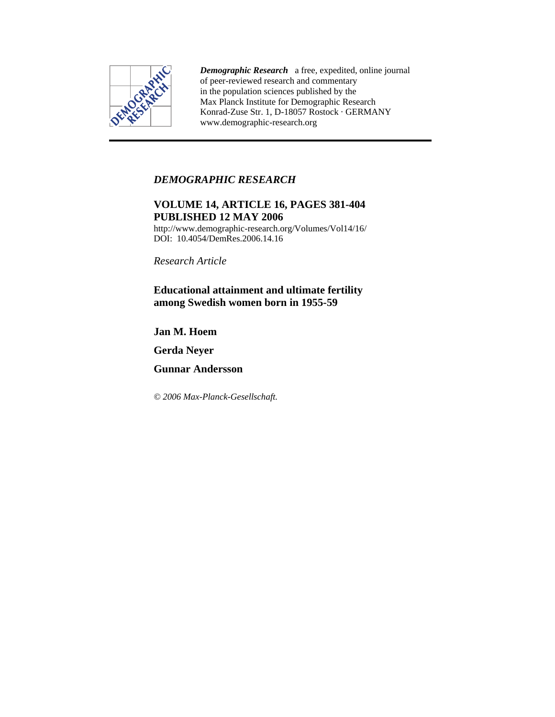

*Demographic Research* a free, expedited, online journal of peer-reviewed research and commentary in the population sciences published by the Max Planck Institute for Demographic Research Konrad-Zuse Str. 1, D-18057 Rostock · GERMANY www.demographic-research.org

# *DEMOGRAPHIC RESEARCH*

# **VOLUME 14, ARTICLE 16, PAGES 381-404 PUBLISHED 12 MAY 2006**

http://www.demographic-research.org/Volumes/Vol14/16/ DOI: 10.4054/DemRes.2006.14.16

*Research Article* 

# **Educational attainment and ultimate fertility among Swedish women born in 1955-59**

**Jan M. Hoem** 

**Gerda Neyer** 

**Gunnar Andersson** 

*© 2006 Max-Planck-Gesellschaft.*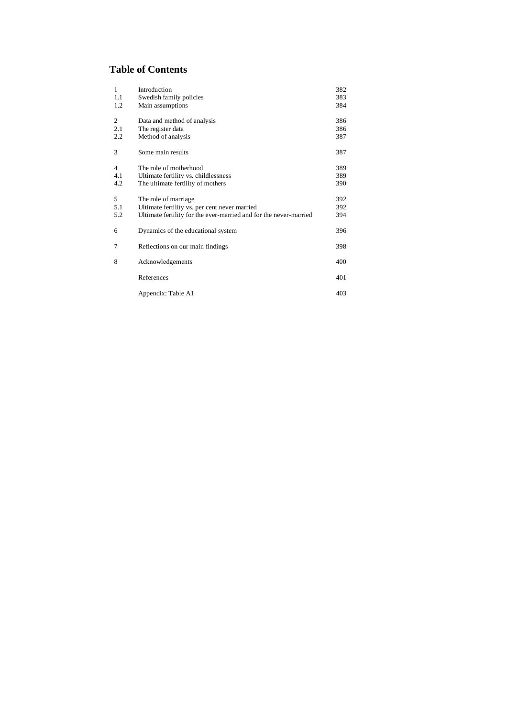# **Table of Contents**

| $\mathbf{1}$   | Introduction                                                      | 382 |
|----------------|-------------------------------------------------------------------|-----|
| 1.1            | Swedish family policies                                           | 383 |
| 1.2            | Main assumptions                                                  | 384 |
| 2              | Data and method of analysis                                       | 386 |
| 2.1            | The register data                                                 | 386 |
| 2.2            | Method of analysis                                                | 387 |
| 3              | Some main results                                                 | 387 |
| $\overline{4}$ | The role of motherhood                                            | 389 |
| 4.1            | Ultimate fertility vs. childlessness                              | 389 |
| 4.2            | The ultimate fertility of mothers                                 | 390 |
| 5              | The role of marriage                                              | 392 |
| 5.1            | Ultimate fertility vs. per cent never married                     | 392 |
| 5.2            | Ultimate fertility for the ever-married and for the never-married | 394 |
| 6              | Dynamics of the educational system                                | 396 |
| 7              | Reflections on our main findings                                  | 398 |
| 8              | Acknowledgements                                                  | 400 |
|                | References                                                        | 401 |
|                | Appendix: Table A1                                                | 403 |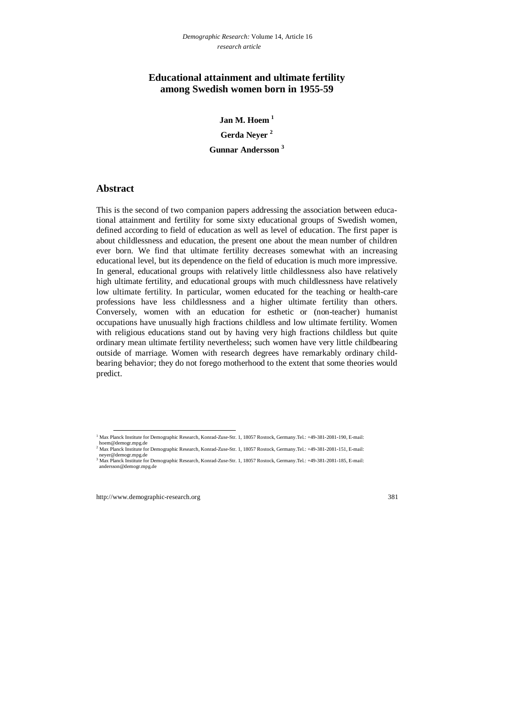## **Educational attainment and ultimate fertility among Swedish women born in 1955-59**

**Jan M. Hoem 1**

**Gerda Neyer 2**

**Gunnar Andersson <sup>3</sup>**

## **Abstract**

This is the second of two companion papers addressing the association between educational attainment and fertility for some sixty educational groups of Swedish women, defined according to field of education as well as level of education. The first paper is about childlessness and education, the present one about the mean number of children ever born. We find that ultimate fertility decreases somewhat with an increasing educational level, but its dependence on the field of education is much more impressive. In general, educational groups with relatively little childlessness also have relatively high ultimate fertility, and educational groups with much childlessness have relatively low ultimate fertility. In particular, women educated for the teaching or health-care professions have less childlessness and a higher ultimate fertility than others. Conversely, women with an education for esthetic or (non-teacher) humanist occupations have unusually high fractions childless and low ultimate fertility. Women with religious educations stand out by having very high fractions childless but quite ordinary mean ultimate fertility nevertheless; such women have very little childbearing outside of marriage. Women with research degrees have remarkably ordinary childbearing behavior; they do not forego motherhood to the extent that some theories would predict.

 <sup>1</sup> Max Planck Institute for Demographic Research, Konrad-Zuse-Str. 1, 18057 Rostock, Germany.Tel.: +49-381-2081-190, E-mail: hoem@demogr.mpg.de

<sup>&</sup>lt;sup>2</sup> Max Planck Institute for Demographic Research, Konrad-Zuse-Str. 1, 18057 Rostock, Germany.Tel.: +49-381-2081-151, E-mail: neyer@demogr.mpg.de

<sup>&</sup>lt;sup>3</sup> Max Planck Institute for Demographic Research, Konrad-Zuse-Str. 1, 18057 Rostock, Germany.Tel.: +49-381-2081-185, E-mail: andersson@demogr.mpg.de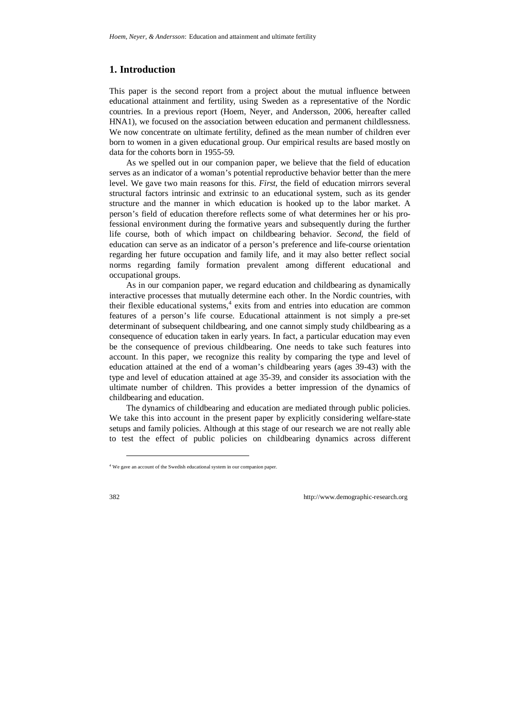## **1. Introduction**

This paper is the second report from a project about the mutual influence between educational attainment and fertility, using Sweden as a representative of the Nordic countries. In a previous report (Hoem, Neyer, and Andersson, 2006, hereafter called HNA1), we focused on the association between education and permanent childlessness. We now concentrate on ultimate fertility, defined as the mean number of children ever born to women in a given educational group. Our empirical results are based mostly on data for the cohorts born in 1955-59.

As we spelled out in our companion paper, we believe that the field of education serves as an indicator of a woman's potential reproductive behavior better than the mere level. We gave two main reasons for this. *First*, the field of education mirrors several structural factors intrinsic and extrinsic to an educational system, such as its gender structure and the manner in which education is hooked up to the labor market. A person's field of education therefore reflects some of what determines her or his professional environment during the formative years and subsequently during the further life course, both of which impact on childbearing behavior. *Second*, the field of education can serve as an indicator of a person's preference and life-course orientation regarding her future occupation and family life, and it may also better reflect social norms regarding family formation prevalent among different educational and occupational groups.

As in our companion paper, we regard education and childbearing as dynamically interactive processes that mutually determine each other. In the Nordic countries, with their flexible educational systems,<sup>4</sup> exits from and entries into education are common features of a person's life course. Educational attainment is not simply a pre-set determinant of subsequent childbearing, and one cannot simply study childbearing as a consequence of education taken in early years. In fact, a particular education may even be the consequence of previous childbearing. One needs to take such features into account. In this paper, we recognize this reality by comparing the type and level of education attained at the end of a woman's childbearing years (ages 39-43) with the type and level of education attained at age 35-39, and consider its association with the ultimate number of children. This provides a better impression of the dynamics of childbearing and education.

The dynamics of childbearing and education are mediated through public policies. We take this into account in the present paper by explicitly considering welfare-state setups and family policies. Although at this stage of our research we are not really able to test the effect of public policies on childbearing dynamics across different

-

<sup>4</sup> We gave an account of the Swedish educational system in our companion paper.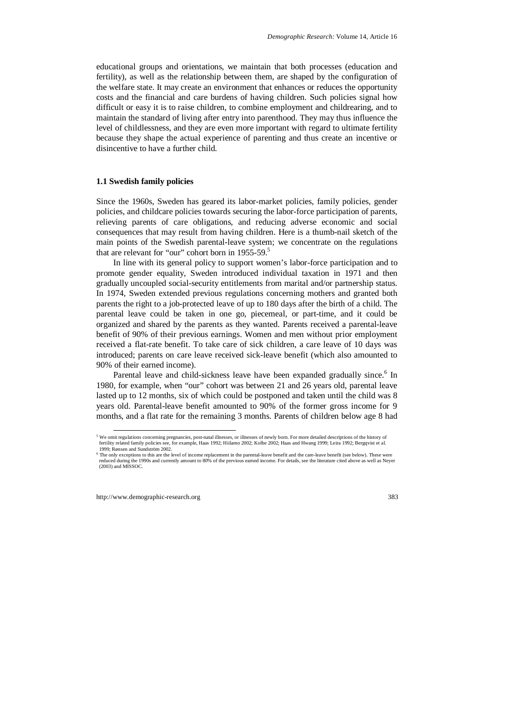educational groups and orientations, we maintain that both processes (education and fertility), as well as the relationship between them, are shaped by the configuration of the welfare state. It may create an environment that enhances or reduces the opportunity costs and the financial and care burdens of having children. Such policies signal how difficult or easy it is to raise children, to combine employment and childrearing, and to maintain the standard of living after entry into parenthood. They may thus influence the level of childlessness, and they are even more important with regard to ultimate fertility because they shape the actual experience of parenting and thus create an incentive or disincentive to have a further child.

#### **1.1 Swedish family policies**

Since the 1960s, Sweden has geared its labor-market policies, family policies, gender policies, and childcare policies towards securing the labor-force participation of parents, relieving parents of care obligations, and reducing adverse economic and social consequences that may result from having children. Here is a thumb-nail sketch of the main points of the Swedish parental-leave system; we concentrate on the regulations that are relevant for "our" cohort born in  $1955-59$ .<sup>5</sup>

In line with its general policy to support women's labor-force participation and to promote gender equality, Sweden introduced individual taxation in 1971 and then gradually uncoupled social-security entitlements from marital and/or partnership status. In 1974, Sweden extended previous regulations concerning mothers and granted both parents the right to a job-protected leave of up to 180 days after the birth of a child. The parental leave could be taken in one go, piecemeal, or part-time, and it could be organized and shared by the parents as they wanted. Parents received a parental-leave benefit of 90% of their previous earnings. Women and men without prior employment received a flat-rate benefit. To take care of sick children, a care leave of 10 days was introduced; parents on care leave received sick-leave benefit (which also amounted to 90% of their earned income).

Parental leave and child-sickness leave have been expanded gradually since.<sup>6</sup> In 1980, for example, when "our" cohort was between 21 and 26 years old, parental leave lasted up to 12 months, six of which could be postponed and taken until the child was 8 years old. Parental-leave benefit amounted to 90% of the former gross income for 9 months, and a flat rate for the remaining 3 months. Parents of children below age 8 had

 <sup>5</sup> We omit regulations concerning pregnancies, post-natal illnesses, or illnesses of newly born. For more detailed descriptions of the history of fertility related family policies see, for example, Haas 1992; Hiilamo 2002; Kolbe 2002; Haas and Hwang 1999; Leira 1992; Bergqvist et al.

<sup>1999;</sup> Rønsen and Sundström 2002.<br><sup>6</sup> The only exceptions to this are the level of income replacement in the parental-leave benefit and the care-leave benefit (see below). These were reduced during the 1990s and currently amount to 80% of the previous earned income. For details, see the literature cited above as well as Neyer (2003) and MISSOC.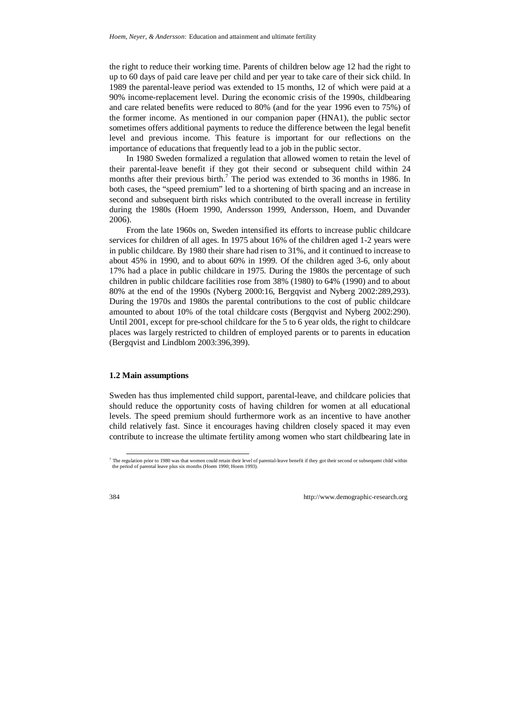the right to reduce their working time. Parents of children below age 12 had the right to up to 60 days of paid care leave per child and per year to take care of their sick child. In 1989 the parental-leave period was extended to 15 months, 12 of which were paid at a 90% income-replacement level. During the economic crisis of the 1990s, childbearing and care related benefits were reduced to 80% (and for the year 1996 even to 75%) of the former income. As mentioned in our companion paper (HNA1), the public sector sometimes offers additional payments to reduce the difference between the legal benefit level and previous income. This feature is important for our reflections on the importance of educations that frequently lead to a job in the public sector.

In 1980 Sweden formalized a regulation that allowed women to retain the level of their parental-leave benefit if they got their second or subsequent child within 24 months after their previous birth.<sup>7</sup> The period was extended to 36 months in 1986. In both cases, the "speed premium" led to a shortening of birth spacing and an increase in second and subsequent birth risks which contributed to the overall increase in fertility during the 1980s (Hoem 1990, Andersson 1999, Andersson, Hoem, and Duvander 2006).

From the late 1960s on, Sweden intensified its efforts to increase public childcare services for children of all ages. In 1975 about 16% of the children aged 1-2 years were in public childcare. By 1980 their share had risen to 31%, and it continued to increase to about 45% in 1990, and to about 60% in 1999. Of the children aged 3-6, only about 17% had a place in public childcare in 1975. During the 1980s the percentage of such children in public childcare facilities rose from 38% (1980) to 64% (1990) and to about 80% at the end of the 1990s (Nyberg 2000:16, Bergqvist and Nyberg 2002:289,293). During the 1970s and 1980s the parental contributions to the cost of public childcare amounted to about 10% of the total childcare costs (Bergqvist and Nyberg 2002:290). Until 2001, except for pre-school childcare for the 5 to 6 year olds, the right to childcare places was largely restricted to children of employed parents or to parents in education (Bergqvist and Lindblom 2003:396,399).

#### **1.2 Main assumptions**

Sweden has thus implemented child support, parental-leave, and childcare policies that should reduce the opportunity costs of having children for women at all educational levels. The speed premium should furthermore work as an incentive to have another child relatively fast. Since it encourages having children closely spaced it may even contribute to increase the ultimate fertility among women who start childbearing late in

<sup>&</sup>lt;sup>7</sup> The regulation prior to 1980 was that women could retain their level of parental-leave benefit if they got their second or subsequent child within the period of parental leave plus six months (Hoem 1990; Hoem 1993).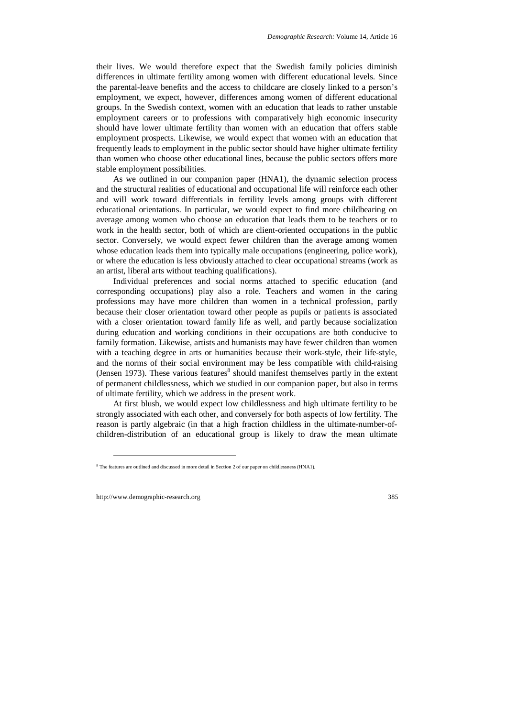their lives. We would therefore expect that the Swedish family policies diminish differences in ultimate fertility among women with different educational levels. Since the parental-leave benefits and the access to childcare are closely linked to a person's employment, we expect, however, differences among women of different educational groups. In the Swedish context, women with an education that leads to rather unstable employment careers or to professions with comparatively high economic insecurity should have lower ultimate fertility than women with an education that offers stable employment prospects. Likewise, we would expect that women with an education that frequently leads to employment in the public sector should have higher ultimate fertility than women who choose other educational lines, because the public sectors offers more stable employment possibilities.

As we outlined in our companion paper (HNA1), the dynamic selection process and the structural realities of educational and occupational life will reinforce each other and will work toward differentials in fertility levels among groups with different educational orientations. In particular, we would expect to find more childbearing on average among women who choose an education that leads them to be teachers or to work in the health sector, both of which are client-oriented occupations in the public sector. Conversely, we would expect fewer children than the average among women whose education leads them into typically male occupations (engineering, police work), or where the education is less obviously attached to clear occupational streams (work as an artist, liberal arts without teaching qualifications).

Individual preferences and social norms attached to specific education (and corresponding occupations) play also a role. Teachers and women in the caring professions may have more children than women in a technical profession, partly because their closer orientation toward other people as pupils or patients is associated with a closer orientation toward family life as well, and partly because socialization during education and working conditions in their occupations are both conducive to family formation. Likewise, artists and humanists may have fewer children than women with a teaching degree in arts or humanities because their work-style, their life-style, and the norms of their social environment may be less compatible with child-raising (Jensen 1973). These various features $<sup>8</sup>$  should manifest themselves partly in the extent</sup> of permanent childlessness, which we studied in our companion paper, but also in terms of ultimate fertility, which we address in the present work.

At first blush, we would expect low childlessness and high ultimate fertility to be strongly associated with each other, and conversely for both aspects of low fertility. The reason is partly algebraic (in that a high fraction childless in the ultimate-number-ofchildren-distribution of an educational group is likely to draw the mean ultimate

-

<sup>&</sup>lt;sup>8</sup> The features are outlined and discussed in more detail in Section 2 of our paper on childlessness (HNA1).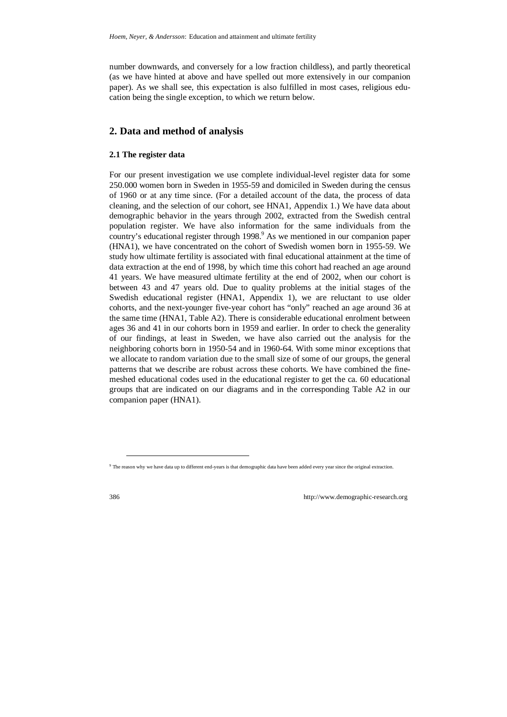number downwards, and conversely for a low fraction childless), and partly theoretical (as we have hinted at above and have spelled out more extensively in our companion paper). As we shall see, this expectation is also fulfilled in most cases, religious education being the single exception, to which we return below.

## **2. Data and method of analysis**

#### **2.1 The register data**

For our present investigation we use complete individual-level register data for some 250.000 women born in Sweden in 1955-59 and domiciled in Sweden during the census of 1960 or at any time since. (For a detailed account of the data, the process of data cleaning, and the selection of our cohort, see HNA1, Appendix 1.) We have data about demographic behavior in the years through 2002, extracted from the Swedish central population register. We have also information for the same individuals from the country's educational register through 1998.<sup>9</sup> As we mentioned in our companion paper (HNA1), we have concentrated on the cohort of Swedish women born in 1955-59. We study how ultimate fertility is associated with final educational attainment at the time of data extraction at the end of 1998, by which time this cohort had reached an age around 41 years. We have measured ultimate fertility at the end of 2002, when our cohort is between 43 and 47 years old. Due to quality problems at the initial stages of the Swedish educational register (HNA1, Appendix 1), we are reluctant to use older cohorts, and the next-younger five-year cohort has "only" reached an age around 36 at the same time (HNA1, Table A2). There is considerable educational enrolment between ages 36 and 41 in our cohorts born in 1959 and earlier. In order to check the generality of our findings, at least in Sweden, we have also carried out the analysis for the neighboring cohorts born in 1950-54 and in 1960-64. With some minor exceptions that we allocate to random variation due to the small size of some of our groups, the general patterns that we describe are robust across these cohorts. We have combined the finemeshed educational codes used in the educational register to get the ca. 60 educational groups that are indicated on our diagrams and in the corresponding Table A2 in our companion paper (HNA1).

-

<sup>&</sup>lt;sup>9</sup> The reason why we have data up to different end-years is that demographic data have been added every year since the original extraction.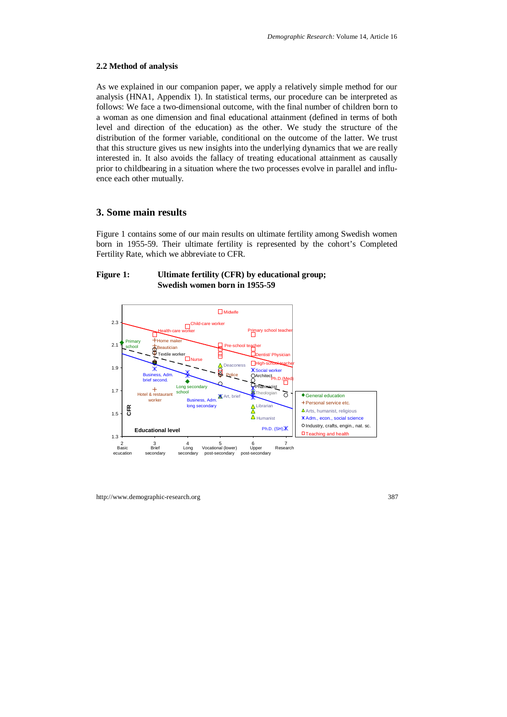#### **2.2 Method of analysis**

As we explained in our companion paper, we apply a relatively simple method for our analysis (HNA1, Appendix 1). In statistical terms, our procedure can be interpreted as follows: We face a two-dimensional outcome, with the final number of children born to a woman as one dimension and final educational attainment (defined in terms of both level and direction of the education) as the other. We study the structure of the distribution of the former variable, conditional on the outcome of the latter. We trust that this structure gives us new insights into the underlying dynamics that we are really interested in. It also avoids the fallacy of treating educational attainment as causally prior to childbearing in a situation where the two processes evolve in parallel and influence each other mutually.

### **3. Some main results**

Figure 1 contains some of our main results on ultimate fertility among Swedish women born in 1955-59. Their ultimate fertility is represented by the cohort's Completed Fertility Rate, which we abbreviate to CFR.

### **Figure 1: Ultimate fertility (CFR) by educational group; Swedish women born in 1955-59**

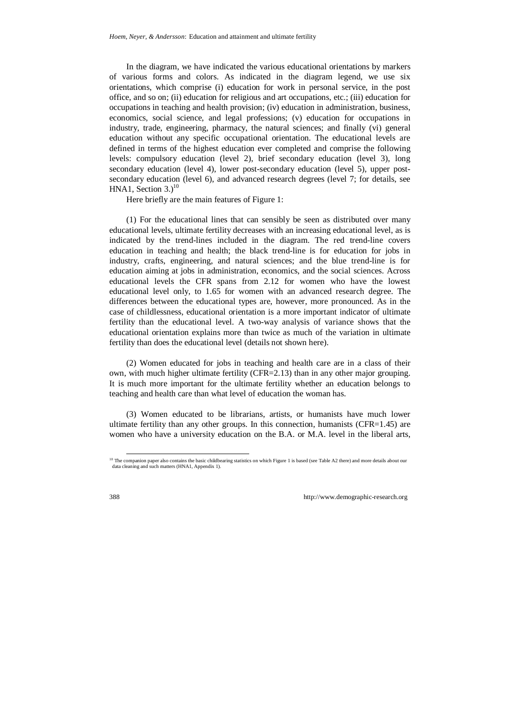In the diagram, we have indicated the various educational orientations by markers of various forms and colors. As indicated in the diagram legend, we use six orientations, which comprise (i) education for work in personal service, in the post office, and so on; (ii) education for religious and art occupations, etc.; (iii) education for occupations in teaching and health provision; (iv) education in administration, business, economics, social science, and legal professions; (v) education for occupations in industry, trade, engineering, pharmacy, the natural sciences; and finally (vi) general education without any specific occupational orientation. The educational levels are defined in terms of the highest education ever completed and comprise the following levels: compulsory education (level 2), brief secondary education (level 3), long secondary education (level 4), lower post-secondary education (level 5), upper postsecondary education (level 6), and advanced research degrees (level 7; for details, see HNA1, Section 3.)<sup>10</sup>

Here briefly are the main features of Figure 1:

(1) For the educational lines that can sensibly be seen as distributed over many educational levels, ultimate fertility decreases with an increasing educational level, as is indicated by the trend-lines included in the diagram. The red trend-line covers education in teaching and health; the black trend-line is for education for jobs in industry, crafts, engineering, and natural sciences; and the blue trend-line is for education aiming at jobs in administration, economics, and the social sciences. Across educational levels the CFR spans from 2.12 for women who have the lowest educational level only, to 1.65 for women with an advanced research degree. The differences between the educational types are, however, more pronounced. As in the case of childlessness, educational orientation is a more important indicator of ultimate fertility than the educational level. A two-way analysis of variance shows that the educational orientation explains more than twice as much of the variation in ultimate fertility than does the educational level (details not shown here).

(2) Women educated for jobs in teaching and health care are in a class of their own, with much higher ultimate fertility (CFR=2.13) than in any other major grouping. It is much more important for the ultimate fertility whether an education belongs to teaching and health care than what level of education the woman has.

(3) Women educated to be librarians, artists, or humanists have much lower ultimate fertility than any other groups. In this connection, humanists (CFR=1.45) are women who have a university education on the B.A. or M.A. level in the liberal arts,

<sup>&</sup>lt;sup>10</sup> The companion paper also contains the basic childbearing statistics on which Figure 1 is based (see Table A2 there) and more details about our data cleaning and such matters (HNA1, Appendix 1).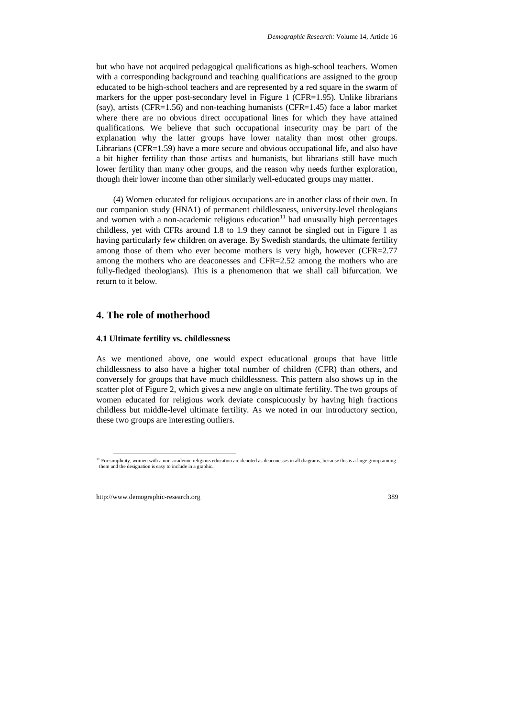but who have not acquired pedagogical qualifications as high-school teachers. Women with a corresponding background and teaching qualifications are assigned to the group educated to be high-school teachers and are represented by a red square in the swarm of markers for the upper post-secondary level in Figure 1 (CFR=1.95). Unlike librarians (say), artists (CFR=1.56) and non-teaching humanists (CFR=1.45) face a labor market where there are no obvious direct occupational lines for which they have attained qualifications. We believe that such occupational insecurity may be part of the explanation why the latter groups have lower natality than most other groups. Librarians (CFR=1.59) have a more secure and obvious occupational life, and also have a bit higher fertility than those artists and humanists, but librarians still have much lower fertility than many other groups, and the reason why needs further exploration, though their lower income than other similarly well-educated groups may matter.

(4) Women educated for religious occupations are in another class of their own. In our companion study (HNA1) of permanent childlessness, university-level theologians and women with a non-academic religious education $11$  had unusually high percentages childless, yet with CFRs around 1.8 to 1.9 they cannot be singled out in Figure 1 as having particularly few children on average. By Swedish standards, the ultimate fertility among those of them who ever become mothers is very high, however (CFR=2.77 among the mothers who are deaconesses and CFR=2.52 among the mothers who are fully-fledged theologians). This is a phenomenon that we shall call bifurcation. We return to it below.

## **4. The role of motherhood**

### **4.1 Ultimate fertility vs. childlessness**

As we mentioned above, one would expect educational groups that have little childlessness to also have a higher total number of children (CFR) than others, and conversely for groups that have much childlessness. This pattern also shows up in the scatter plot of Figure 2, which gives a new angle on ultimate fertility. The two groups of women educated for religious work deviate conspicuously by having high fractions childless but middle-level ultimate fertility. As we noted in our introductory section, these two groups are interesting outliers.

 $<sup>11</sup>$  For simplicity, women with a non-academic religious education are denoted as deaconesses in all diagrams, because this is a large group among</sup> them and the designation is easy to include in a graphic.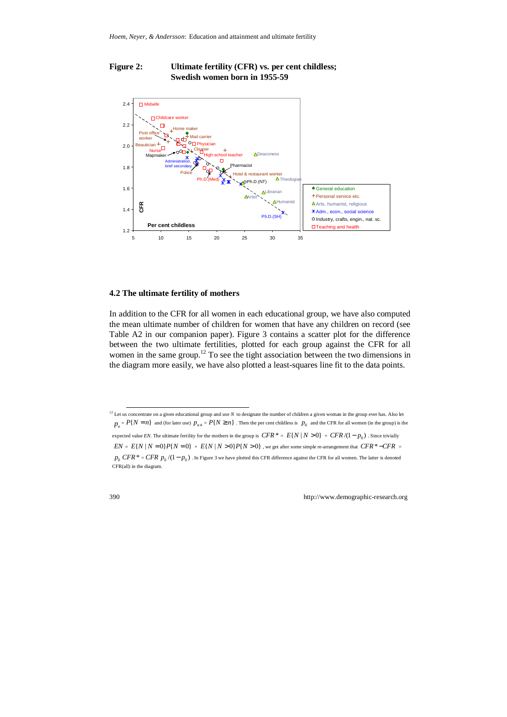#### Figure 2: Ultimate fertility (CFR) vs. per cent childless;  **Swedish women born in 1955-59**



#### **4.2 The ultimate fertility of mothers**

In addition to the CFR for all women in each educational group, we have also computed the mean ultimate number of children for women that have any children on record (see Table A2 in our companion paper). Figure 3 contains a scatter plot for the difference between the two ultimate fertilities, plotted for each group against the CFR for all women in the same group.<sup>12</sup> To see the tight association between the two dimensions in the diagram more easily, we have also plotted a least-squares line fit to the data points.

<sup>12</sup> Let us concentrate on a given educational group and use  $N$  to designate the number of children a given woman in the group ever has. Also let  $p_{n} = P\{N = n\}$  and (for later use)  $p_{n+} = P\{N \ge n\}$ . Then the per cent childless is  $p_{0}$  and the CFR for all women (in the group) is the expected value *EN*. The ultimate fertility for the mothers in the group is  $CFR^* = E\{N \mid N > 0\} = CFR/(1-p_0)$ . Since trivially  $EN = E\{N \mid N=0\} P\{N=0\} + E\{N \mid N>0\} P\{N>0\}$ , we get after some simple re-arrangement that  $CFR^* - CFR =$  $p_0$  CFR<sup>\*</sup> = CFR  $p_0/(1-p_0)$ . In Figure 3 we have plotted this CFR difference against the CFR for all women. The latter is denoted CFR(all) in the diagram.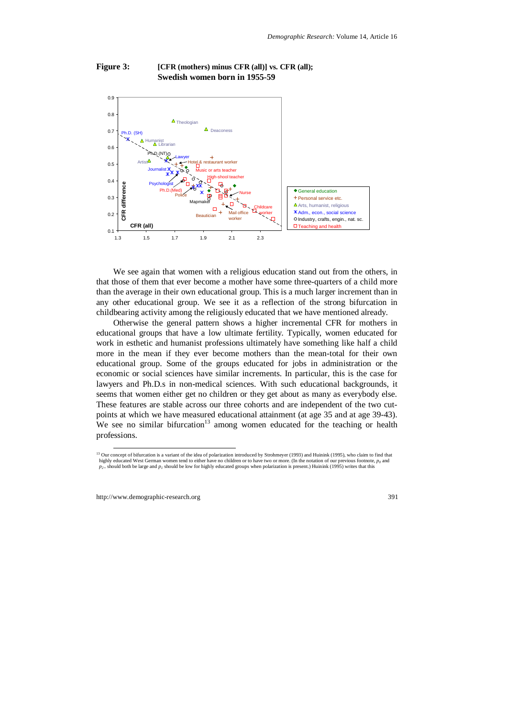

#### Figure 3: **[CFR (mothers) minus CFR (all)] vs. CFR (all); Swedish women born in 1955-59**

We see again that women with a religious education stand out from the others, in that those of them that ever become a mother have some three-quarters of a child more than the average in their own educational group. This is a much larger increment than in any other educational group. We see it as a reflection of the strong bifurcation in childbearing activity among the religiously educated that we have mentioned already.

Otherwise the general pattern shows a higher incremental CFR for mothers in educational groups that have a low ultimate fertility. Typically, women educated for work in esthetic and humanist professions ultimately have something like half a child more in the mean if they ever become mothers than the mean-total for their own educational group. Some of the groups educated for jobs in administration or the economic or social sciences have similar increments. In particular, this is the case for lawyers and Ph.D.s in non-medical sciences. With such educational backgrounds, it seems that women either get no children or they get about as many as everybody else. These features are stable across our three cohorts and are independent of the two cutpoints at which we have measured educational attainment (at age 35 and at age 39-43). We see no similar bifurcation<sup>13</sup> among women educated for the teaching or health professions.

<sup>&</sup>lt;sup>13</sup> Our concept of bifurcation is a variant of the idea of polarization introduced by Strohmeyer (1993) and Huinink (1995), who claim to find that highly educated West German women tend to either have no children or to have two or more. (In the notation of our previous footnote,  $p_0$  and  $p_{2+}$  should both be large and  $p_1$  should be low for highly educated groups when polarization is present.) Huinink (1995) writes that this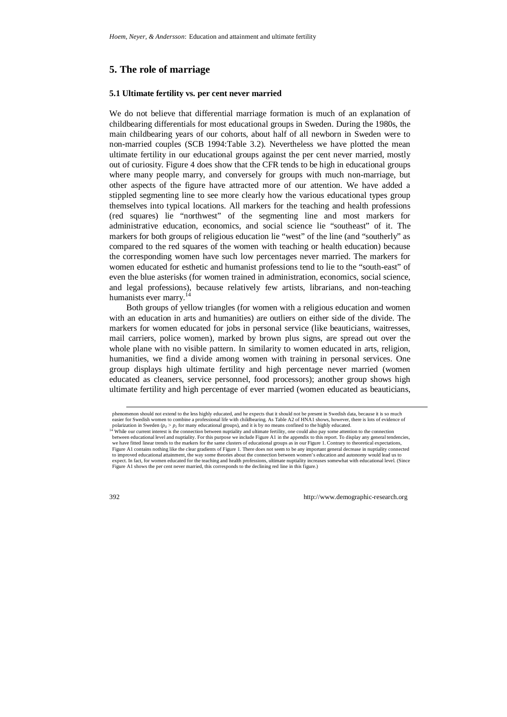## **5. The role of marriage**

#### **5.1 Ultimate fertility vs. per cent never married**

We do not believe that differential marriage formation is much of an explanation of childbearing differentials for most educational groups in Sweden. During the 1980s, the main childbearing years of our cohorts, about half of all newborn in Sweden were to non-married couples (SCB 1994:Table 3.2). Nevertheless we have plotted the mean ultimate fertility in our educational groups against the per cent never married, mostly out of curiosity. Figure 4 does show that the CFR tends to be high in educational groups where many people marry, and conversely for groups with much non-marriage, but other aspects of the figure have attracted more of our attention. We have added a stippled segmenting line to see more clearly how the various educational types group themselves into typical locations. All markers for the teaching and health professions (red squares) lie "northwest" of the segmenting line and most markers for administrative education, economics, and social science lie "southeast" of it. The markers for both groups of religious education lie "west" of the line (and "southerly" as compared to the red squares of the women with teaching or health education) because the corresponding women have such low percentages never married. The markers for women educated for esthetic and humanist professions tend to lie to the "south-east" of even the blue asterisks (for women trained in administration, economics, social science, and legal professions), because relatively few artists, librarians, and non-teaching humanists ever marry.<sup>1</sup>

Both groups of yellow triangles (for women with a religious education and women with an education in arts and humanities) are outliers on either side of the divide. The markers for women educated for jobs in personal service (like beauticians, waitresses, mail carriers, police women), marked by brown plus signs, are spread out over the whole plane with no visible pattern. In similarity to women educated in arts, religion, humanities, we find a divide among women with training in personal services. One group displays high ultimate fertility and high percentage never married (women educated as cleaners, service personnel, food processors); another group shows high ultimate fertility and high percentage of ever married (women educated as beauticians,

phenomenon should not extend to the less highly educated, and he expects that it should not be present in Swedish data, because it is so much easier for Swedish women to combine a professional life with childbearing. As Table A2 of HNA1 shows, however, there is lots of evidence of polarization in Sweden ( $p_0 > p_f$  for many educational groups), and it is by no neans confined to the highly education in Sweden ( $p_0 > p_f$  for many educational groups), and it is by no means confined to the highly educated

between educational level and nuptiality. For this purpose we include Figure A1 in the appendix to this report. To display any general tendencies, we have fitted linear trends to the markers for the same clusters of educational groups as in our Figure 1. Contrary to theoretical expectations, Figure A1 contains nothing like the clear gradients of Figure 1. There does not seem to be any important general decrease in nuptiality connected to improved educational attainment, the way some theories about the connection between women's education and autonomy would lead us to expect. In fact, for women educated for the teaching and health professions, ultimate nuptiality increases somewhat with educational level. (Since Figure A1 shows the per cent never married, this corresponds to the declining red line in this figure.)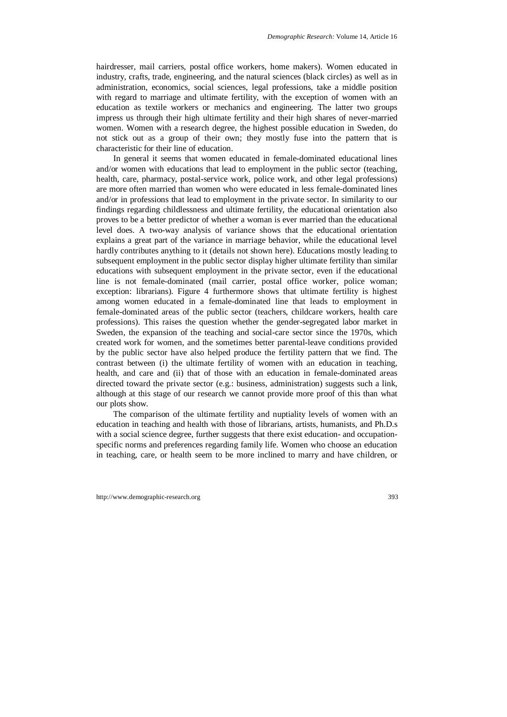hairdresser, mail carriers, postal office workers, home makers). Women educated in industry, crafts, trade, engineering, and the natural sciences (black circles) as well as in administration, economics, social sciences, legal professions, take a middle position with regard to marriage and ultimate fertility, with the exception of women with an education as textile workers or mechanics and engineering. The latter two groups impress us through their high ultimate fertility and their high shares of never-married women. Women with a research degree, the highest possible education in Sweden, do not stick out as a group of their own; they mostly fuse into the pattern that is characteristic for their line of education.

In general it seems that women educated in female-dominated educational lines and/or women with educations that lead to employment in the public sector (teaching, health, care, pharmacy, postal-service work, police work, and other legal professions) are more often married than women who were educated in less female-dominated lines and/or in professions that lead to employment in the private sector. In similarity to our findings regarding childlessness and ultimate fertility, the educational orientation also proves to be a better predictor of whether a woman is ever married than the educational level does. A two-way analysis of variance shows that the educational orientation explains a great part of the variance in marriage behavior, while the educational level hardly contributes anything to it (details not shown here). Educations mostly leading to subsequent employment in the public sector display higher ultimate fertility than similar educations with subsequent employment in the private sector, even if the educational line is not female-dominated (mail carrier, postal office worker, police woman; exception: librarians). Figure 4 furthermore shows that ultimate fertility is highest among women educated in a female-dominated line that leads to employment in female-dominated areas of the public sector (teachers, childcare workers, health care professions). This raises the question whether the gender-segregated labor market in Sweden, the expansion of the teaching and social-care sector since the 1970s, which created work for women, and the sometimes better parental-leave conditions provided by the public sector have also helped produce the fertility pattern that we find. The contrast between (i) the ultimate fertility of women with an education in teaching, health, and care and (ii) that of those with an education in female-dominated areas directed toward the private sector (e.g.: business, administration) suggests such a link, although at this stage of our research we cannot provide more proof of this than what our plots show.

The comparison of the ultimate fertility and nuptiality levels of women with an education in teaching and health with those of librarians, artists, humanists, and Ph.D.s with a social science degree, further suggests that there exist education- and occupationspecific norms and preferences regarding family life. Women who choose an education in teaching, care, or health seem to be more inclined to marry and have children, or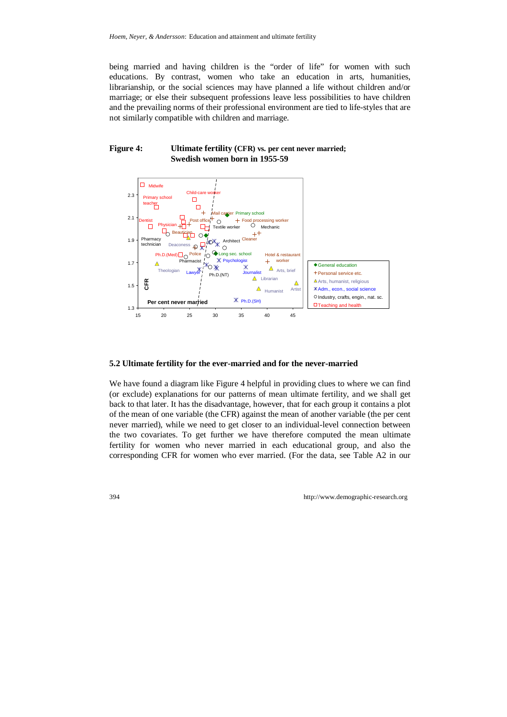being married and having children is the "order of life" for women with such educations. By contrast, women who take an education in arts, humanities, librarianship, or the social sciences may have planned a life without children and/or marriage; or else their subsequent professions leave less possibilities to have children and the prevailing norms of their professional environment are tied to life-styles that are not similarly compatible with children and marriage.

#### **Figure 4: Ultimate fertility (CFR) vs. per cent never married; Swedish women born in 1955-59**



#### **5.2 Ultimate fertility for the ever-married and for the never-married**

We have found a diagram like Figure 4 helpful in providing clues to where we can find (or exclude) explanations for our patterns of mean ultimate fertility, and we shall get back to that later. It has the disadvantage, however, that for each group it contains a plot of the mean of one variable (the CFR) against the mean of another variable (the per cent never married), while we need to get closer to an individual-level connection between the two covariates. To get further we have therefore computed the mean ultimate fertility for women who never married in each educational group, and also the corresponding CFR for women who ever married. (For the data, see Table A2 in our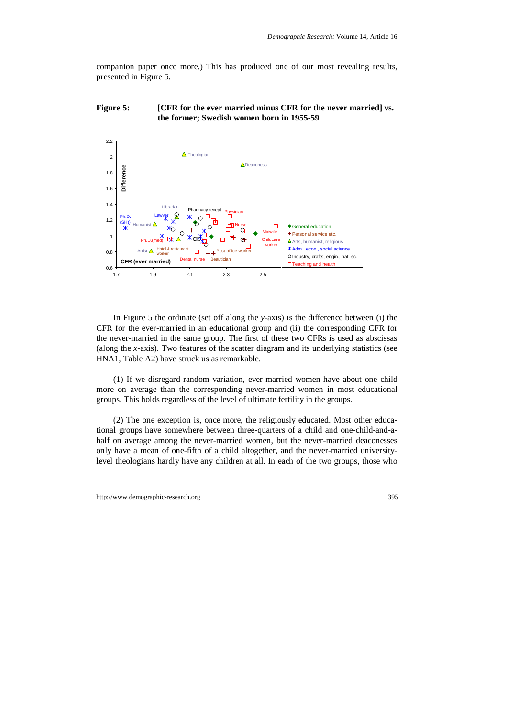companion paper once more.) This has produced one of our most revealing results, presented in Figure 5.

#### **Figure 5: [CFR for the ever married minus CFR for the never married] vs. the former; Swedish women born in 1955-59**



In Figure 5 the ordinate (set off along the *y*-axis) is the difference between (i) the CFR for the ever-married in an educational group and (ii) the corresponding CFR for the never-married in the same group. The first of these two CFRs is used as abscissas (along the *x*-axis). Two features of the scatter diagram and its underlying statistics (see HNA1, Table A2) have struck us as remarkable.

(1) If we disregard random variation, ever-married women have about one child more on average than the corresponding never-married women in most educational groups. This holds regardless of the level of ultimate fertility in the groups.

(2) The one exception is, once more, the religiously educated. Most other educational groups have somewhere between three-quarters of a child and one-child-and-ahalf on average among the never-married women, but the never-married deaconesses only have a mean of one-fifth of a child altogether, and the never-married universitylevel theologians hardly have any children at all. In each of the two groups, those who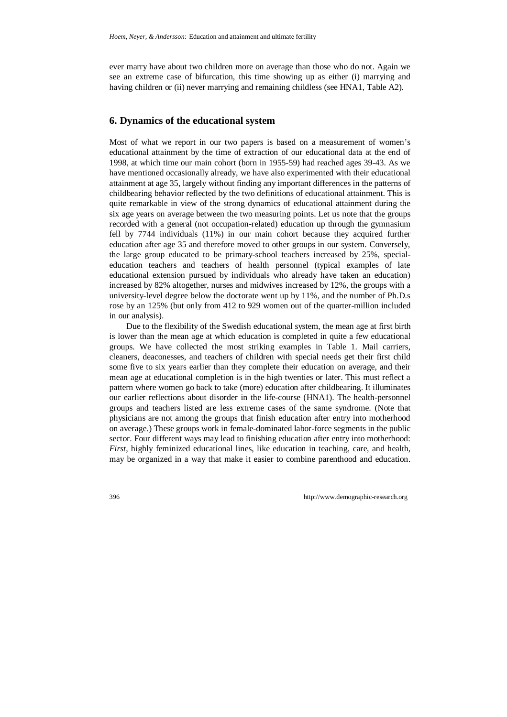ever marry have about two children more on average than those who do not. Again we see an extreme case of bifurcation, this time showing up as either (i) marrying and having children or (ii) never marrying and remaining childless (see HNA1, Table A2).

## **6. Dynamics of the educational system**

Most of what we report in our two papers is based on a measurement of women's educational attainment by the time of extraction of our educational data at the end of 1998, at which time our main cohort (born in 1955-59) had reached ages 39-43. As we have mentioned occasionally already, we have also experimented with their educational attainment at age 35, largely without finding any important differences in the patterns of childbearing behavior reflected by the two definitions of educational attainment. This is quite remarkable in view of the strong dynamics of educational attainment during the six age years on average between the two measuring points. Let us note that the groups recorded with a general (not occupation-related) education up through the gymnasium fell by 7744 individuals (11%) in our main cohort because they acquired further education after age 35 and therefore moved to other groups in our system. Conversely, the large group educated to be primary-school teachers increased by 25%, specialeducation teachers and teachers of health personnel (typical examples of late educational extension pursued by individuals who already have taken an education) increased by 82% altogether, nurses and midwives increased by 12%, the groups with a university-level degree below the doctorate went up by 11%, and the number of Ph.D.s rose by an 125% (but only from 412 to 929 women out of the quarter-million included in our analysis).

Due to the flexibility of the Swedish educational system, the mean age at first birth is lower than the mean age at which education is completed in quite a few educational groups. We have collected the most striking examples in Table 1. Mail carriers, cleaners, deaconesses, and teachers of children with special needs get their first child some five to six years earlier than they complete their education on average, and their mean age at educational completion is in the high twenties or later. This must reflect a pattern where women go back to take (more) education after childbearing. It illuminates our earlier reflections about disorder in the life-course (HNA1). The health-personnel groups and teachers listed are less extreme cases of the same syndrome. (Note that physicians are not among the groups that finish education after entry into motherhood on average.) These groups work in female-dominated labor-force segments in the public sector. Four different ways may lead to finishing education after entry into motherhood: *First*, highly feminized educational lines, like education in teaching, care, and health, may be organized in a way that make it easier to combine parenthood and education.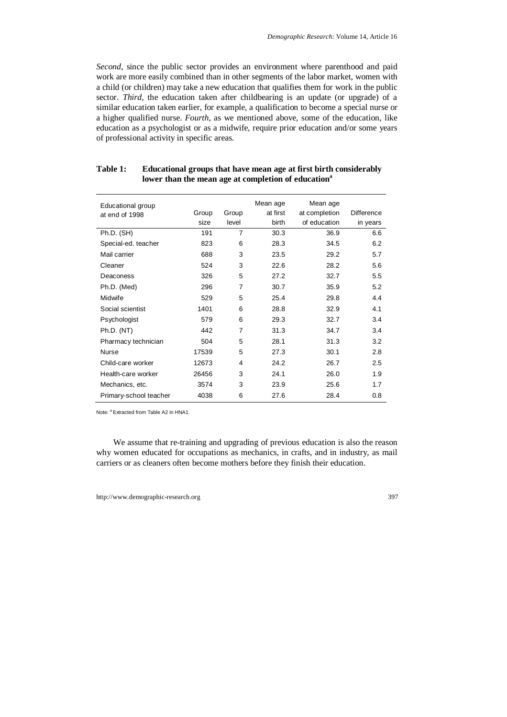*Second*, since the public sector provides an environment where parenthood and paid work are more easily combined than in other segments of the labor market, women with a child (or children) may take a new education that qualifies them for work in the public sector. *Third*, the education taken after childbearing is an update (or upgrade) of a similar education taken earlier, for example, a qualification to become a special nurse or a higher qualified nurse. *Fourth*, as we mentioned above, some of the education, like education as a psychologist or as a midwife, require prior education and/or some years of professional activity in specific areas.

| Educational group<br>at end of 1998 | Group<br>size | Group<br>level | Mean age<br>at first<br>birth | Mean age<br>at completion<br>of education | Difference<br>in years |
|-------------------------------------|---------------|----------------|-------------------------------|-------------------------------------------|------------------------|
| Ph.D. (SH)                          | 191           | $\overline{7}$ | 30.3                          | 36.9                                      | 6.6                    |
| Special-ed. teacher                 | 823           | 6              | 28.3                          | 34.5                                      | 6.2                    |
| Mail carrier                        | 688           | 3              | 23.5                          | 29.2                                      | 5.7                    |
| Cleaner                             | 524           | 3              | 22.6                          | 28.2                                      | 5.6                    |
| Deaconess                           | 326           | 5              | 27.2                          | 32.7                                      | 5.5                    |
| Ph.D. (Med)                         | 296           | $\overline{7}$ | 30.7                          | 35.9                                      | 5.2                    |
| Midwife                             | 529           | 5              | 25.4                          | 29.8                                      | 4.4                    |
| Social scientist                    | 1401          | 6              | 28.8                          | 32.9                                      | 4.1                    |
| Psychologist                        | 579           | 6              | 29.3                          | 32.7                                      | 3.4                    |
| Ph.D. (NT)                          | 442           | 7              | 31.3                          | 34.7                                      | 3.4                    |
| Pharmacy technician                 | 504           | 5              | 28.1                          | 31.3                                      | 3.2                    |
| Nurse                               | 17539         | 5              | 27.3                          | 30.1                                      | 2.8                    |
| Child-care worker                   | 12673         | 4              | 24.2                          | 26.7                                      | 2.5                    |
| Health-care worker                  | 26456         | 3              | 24.1                          | 26.0                                      | 1.9                    |
| Mechanics, etc.                     | 3574          | 3              | 23.9                          | 25.6                                      | 1.7                    |
| Primary-school teacher              | 4038          | 6              | 27.6                          | 28.4                                      | 0.8                    |

### **Table 1: Educational groups that have mean age at first birth considerably**  lower than the mean age at completion of education<sup>a</sup>

Note: <sup>a</sup> Extracted from Table A2 in HNA1.

We assume that re-training and upgrading of previous education is also the reason why women educated for occupations as mechanics, in crafts, and in industry, as mail carriers or as cleaners often become mothers before they finish their education.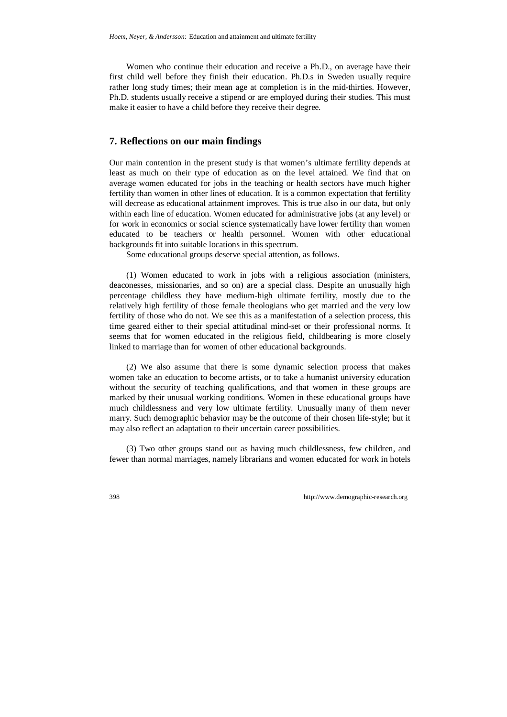Women who continue their education and receive a Ph.D., on average have their first child well before they finish their education. Ph.D.s in Sweden usually require rather long study times; their mean age at completion is in the mid-thirties. However, Ph.D. students usually receive a stipend or are employed during their studies. This must make it easier to have a child before they receive their degree.

### **7. Reflections on our main findings**

Our main contention in the present study is that women's ultimate fertility depends at least as much on their type of education as on the level attained. We find that on average women educated for jobs in the teaching or health sectors have much higher fertility than women in other lines of education. It is a common expectation that fertility will decrease as educational attainment improves. This is true also in our data, but only within each line of education. Women educated for administrative jobs (at any level) or for work in economics or social science systematically have lower fertility than women educated to be teachers or health personnel. Women with other educational backgrounds fit into suitable locations in this spectrum.

Some educational groups deserve special attention, as follows.

(1) Women educated to work in jobs with a religious association (ministers, deaconesses, missionaries, and so on) are a special class. Despite an unusually high percentage childless they have medium-high ultimate fertility, mostly due to the relatively high fertility of those female theologians who get married and the very low fertility of those who do not. We see this as a manifestation of a selection process, this time geared either to their special attitudinal mind-set or their professional norms. It seems that for women educated in the religious field, childbearing is more closely linked to marriage than for women of other educational backgrounds.

(2) We also assume that there is some dynamic selection process that makes women take an education to become artists, or to take a humanist university education without the security of teaching qualifications, and that women in these groups are marked by their unusual working conditions. Women in these educational groups have much childlessness and very low ultimate fertility. Unusually many of them never marry. Such demographic behavior may be the outcome of their chosen life-style; but it may also reflect an adaptation to their uncertain career possibilities.

(3) Two other groups stand out as having much childlessness, few children, and fewer than normal marriages, namely librarians and women educated for work in hotels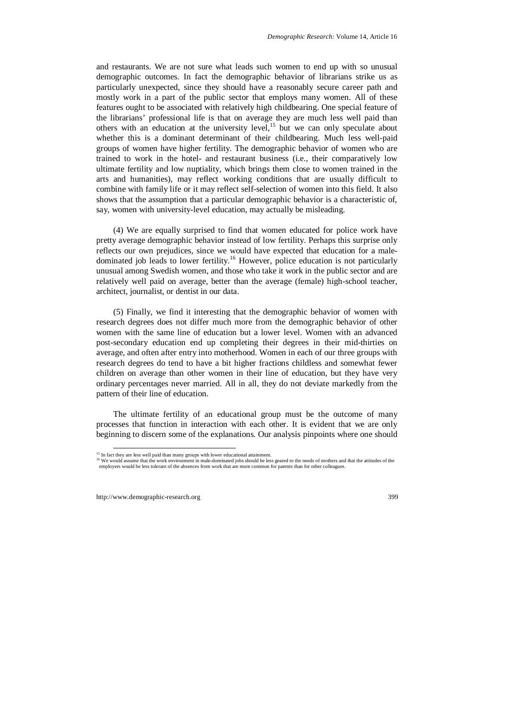and restaurants. We are not sure what leads such women to end up with so unusual demographic outcomes. In fact the demographic behavior of librarians strike us as particularly unexpected, since they should have a reasonably secure career path and mostly work in a part of the public sector that employs many women. All of these features ought to be associated with relatively high childbearing. One special feature of the librarians' professional life is that on average they are much less well paid than others with an education at the university level, $15$  but we can only speculate about whether this is a dominant determinant of their childbearing. Much less well-paid groups of women have higher fertility. The demographic behavior of women who are trained to work in the hotel- and restaurant business (i.e., their comparatively low ultimate fertility and low nuptiality, which brings them close to women trained in the arts and humanities), may reflect working conditions that are usually difficult to combine with family life or it may reflect self-selection of women into this field. It also shows that the assumption that a particular demographic behavior is a characteristic of, say, women with university-level education, may actually be misleading.

(4) We are equally surprised to find that women educated for police work have pretty average demographic behavior instead of low fertility. Perhaps this surprise only reflects our own prejudices, since we would have expected that education for a maledominated job leads to lower fertility.16 However, police education is not particularly unusual among Swedish women, and those who take it work in the public sector and are relatively well paid on average, better than the average (female) high-school teacher, architect, journalist, or dentist in our data.

(5) Finally, we find it interesting that the demographic behavior of women with research degrees does not differ much more from the demographic behavior of other women with the same line of education but a lower level. Women with an advanced post-secondary education end up completing their degrees in their mid-thirties on average, and often after entry into motherhood. Women in each of our three groups with research degrees do tend to have a bit higher fractions childless and somewhat fewer children on average than other women in their line of education, but they have very ordinary percentages never married. All in all, they do not deviate markedly from the pattern of their line of education.

The ultimate fertility of an educational group must be the outcome of many processes that function in interaction with each other. It is evident that we are only beginning to discern some of the explanations. Our analysis pinpoints where one should

<sup>&</sup>lt;sup>15</sup> In fact they are less well paid than many groups with lower educational attainment.

<sup>&</sup>lt;sup>16</sup> We would assume that the work environment in male-dominated jobs should be less geared to the needs of mothers and that the attitudes of the employers would be less tolerant of the absences from work that are more common for parents than for other colleagues.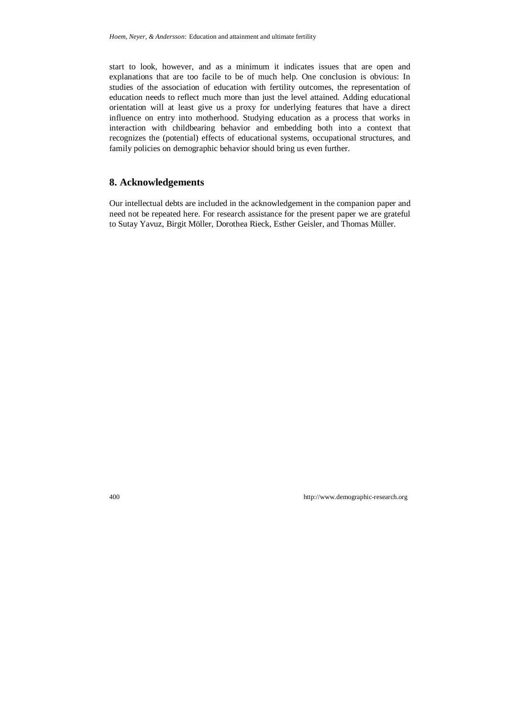start to look, however, and as a minimum it indicates issues that are open and explanations that are too facile to be of much help. One conclusion is obvious: In studies of the association of education with fertility outcomes, the representation of education needs to reflect much more than just the level attained. Adding educational orientation will at least give us a proxy for underlying features that have a direct influence on entry into motherhood. Studying education as a process that works in interaction with childbearing behavior and embedding both into a context that recognizes the (potential) effects of educational systems, occupational structures, and family policies on demographic behavior should bring us even further.

## **8. Acknowledgements**

Our intellectual debts are included in the acknowledgement in the companion paper and need not be repeated here. For research assistance for the present paper we are grateful to Sutay Yavuz, Birgit Möller, Dorothea Rieck, Esther Geisler, and Thomas Müller.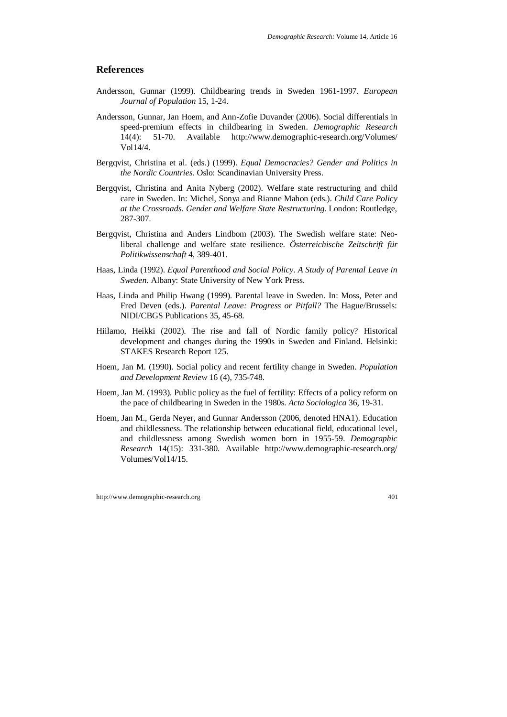### **References**

- Andersson, Gunnar (1999). Childbearing trends in Sweden 1961-1997. *European Journal of Population* 15, 1-24.
- Andersson, Gunnar, Jan Hoem, and Ann-Zofie Duvander (2006). Social differentials in speed-premium effects in childbearing in Sweden. *Demographic Research*  14(4): 51-70. Available http://www.demographic-research.org/Volumes/ Vol14/4.
- Bergqvist, Christina et al. (eds.) (1999). *Equal Democracies? Gender and Politics in the Nordic Countries.* Oslo: Scandinavian University Press.
- Bergqvist, Christina and Anita Nyberg (2002). Welfare state restructuring and child care in Sweden. In: Michel, Sonya and Rianne Mahon (eds.). *Child Care Policy at the Crossroads. Gender and Welfare State Restructuring*. London: Routledge, 287-307.
- Bergqvist, Christina and Anders Lindbom (2003). The Swedish welfare state: Neoliberal challenge and welfare state resilience. *Österreichische Zeitschrift für Politikwissenschaft* 4, 389-401.
- Haas, Linda (1992). *Equal Parenthood and Social Policy. A Study of Parental Leave in Sweden.* Albany: State University of New York Press.
- Haas, Linda and Philip Hwang (1999). Parental leave in Sweden. In: Moss, Peter and Fred Deven (eds.). *Parental Leave: Progress or Pitfall?* The Hague/Brussels: NIDI/CBGS Publications 35, 45-68.
- Hiilamo, Heikki (2002). The rise and fall of Nordic family policy? Historical development and changes during the 1990s in Sweden and Finland. Helsinki: STAKES Research Report 125.
- Hoem, Jan M. (1990). Social policy and recent fertility change in Sweden. *Population and Development Review* 16 (4), 735-748.
- Hoem, Jan M. (1993). Public policy as the fuel of fertility: Effects of a policy reform on the pace of childbearing in Sweden in the 1980s. *Acta Sociologica* 36, 19-31.
- Hoem, Jan M., Gerda Neyer, and Gunnar Andersson (2006, denoted HNA1). Education and childlessness. The relationship between educational field, educational level, and childlessness among Swedish women born in 1955-59. *Demographic Research* 14(15): 331-380. Available http://www.demographic-research.org/ Volumes/Vol14/15.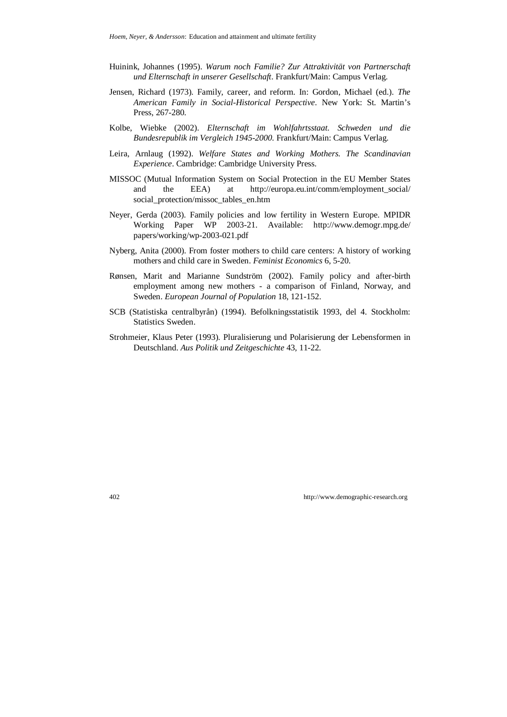- Huinink, Johannes (1995). *Warum noch Familie? Zur Attraktivität von Partnerschaft und Elternschaft in unserer Gesellschaft*. Frankfurt/Main: Campus Verlag.
- Jensen, Richard (1973). Family, career, and reform. In: Gordon, Michael (ed.). *The American Family in Social-Historical Perspective*. New York: St. Martin's Press, 267-280.
- Kolbe, Wiebke (2002). *Elternschaft im Wohlfahrtsstaat. Schweden und die Bundesrepublik im Vergleich 1945-2000*. Frankfurt/Main: Campus Verlag.
- Leira, Arnlaug (1992). *Welfare States and Working Mothers. The Scandinavian Experience*. Cambridge: Cambridge University Press.
- MISSOC (Mutual Information System on Social Protection in the EU Member States and the EEA) at http://europa.eu.int/comm/employment\_social/ social\_protection/missoc\_tables\_en.htm
- Neyer, Gerda (2003). Family policies and low fertility in Western Europe. MPIDR Working Paper WP 2003-21. Available: http://www.demogr.mpg.de/ papers/working/wp-2003-021.pdf
- Nyberg, Anita (2000). From foster mothers to child care centers: A history of working mothers and child care in Sweden. *Feminist Economics* 6, 5-20.
- Rønsen, Marit and Marianne Sundström (2002). Family policy and after-birth employment among new mothers - a comparison of Finland, Norway, and Sweden. *European Journal of Population* 18, 121-152.
- SCB (Statistiska centralbyrån) (1994). Befolkningsstatistik 1993, del 4. Stockholm: Statistics Sweden.
- Strohmeier, Klaus Peter (1993). Pluralisierung und Polarisierung der Lebensformen in Deutschland. *Aus Politik und Zeitgeschichte* 43, 11-22.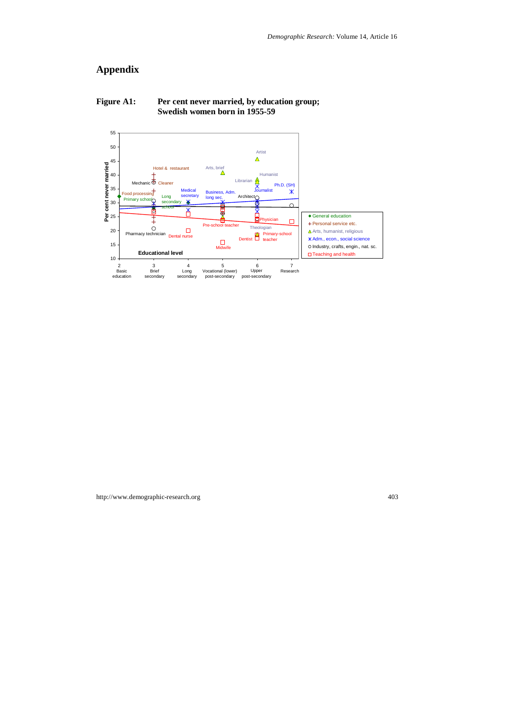# **Appendix**

### **Figure A1: Per cent never married, by education group; Swedish women born in 1955-59**